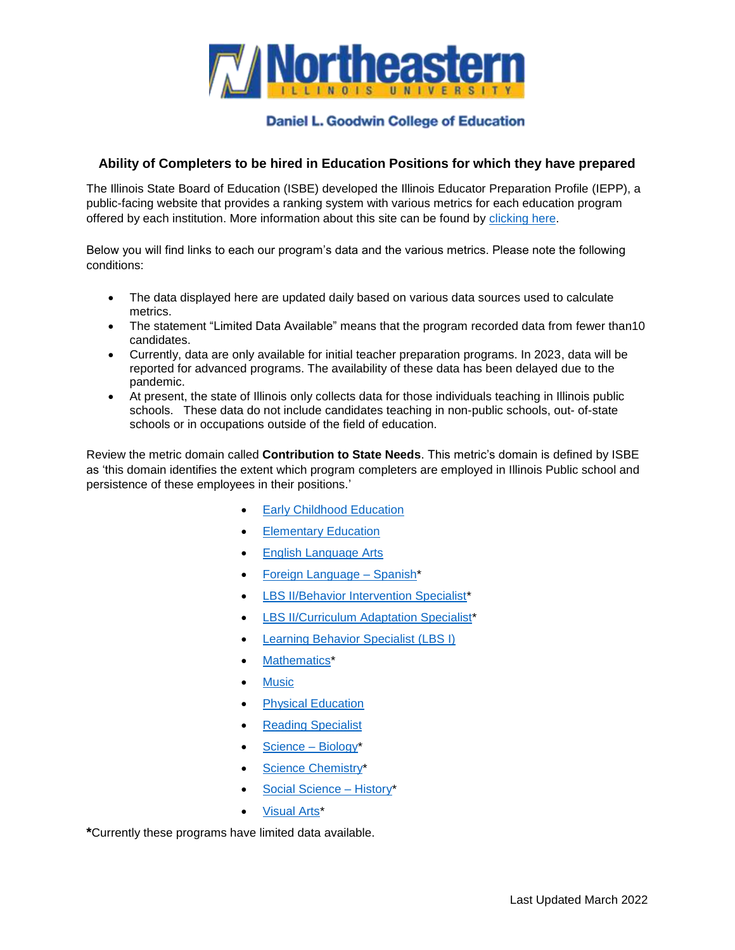

## **Daniel L. Goodwin College of Education**

## **Ability of Completers to be hired in Education Positions for which they have prepared**

The Illinois State Board of Education (ISBE) developed the Illinois Educator Preparation Profile (IEPP), a public-facing website that provides a ranking system with various metrics for each education program offered by each institution. More information about this site can be found by [clicking here.](https://apps.isbe.net/EPP/public#/about)

Below you will find links to each our program's data and the various metrics. Please note the following conditions:

- The data displayed here are updated daily based on various data sources used to calculate metrics.
- The statement "Limited Data Available" means that the program recorded data from fewer than10 candidates.
- Currently, data are only available for initial teacher preparation programs. In 2023, data will be reported for advanced programs. The availability of these data has been delayed due to the pandemic.
- At present, the state of Illinois only collects data for those individuals teaching in Illinois public schools. These data do not include candidates teaching in non-public schools, out- of-state schools or in occupations outside of the field of education.

Review the metric domain called **Contribution to State Needs**. This metric's domain is defined by ISBE as 'this domain identifies the extent which program completers are employed in Illinois Public school and persistence of these employees in their positions.'

- [Early Childhood Education](https://apps.isbe.net/EPP/public#/institutions/12486/programs/5/performance/scorecard)
- [Elementary Education](https://apps.isbe.net/EPP/public#/institutions/12486/programs/7/performance/scorecard)
- [English Language Arts](https://apps.isbe.net/EPP/public#/institutions/12486/programs/8/performance/scorecard)
- [Foreign Language –](https://apps.isbe.net/EPP/public#/institutions/12486/programs/20/performance/scorecard) Spanish\*
- [LBS II/Behavior Intervention Specialist\\*](https://apps.isbe.net/EPP/public#/institutions/12486/programs/24/performance/scorecard)
- [LBS II/Curriculum Adaptation Specialist\\*](https://apps.isbe.net/EPP/public#/institutions/12486/programs/26/performance/scorecard)
- [Learning Behavior Specialist \(LBS I\)](https://apps.isbe.net/EPP/public#/institutions/12486/programs/30/performance/scorecard)
- [Mathematics\\*](https://apps.isbe.net/EPP/public#/institutions/12486/programs/32/performance/scorecard)
- **[Music](https://apps.isbe.net/EPP/public#/institutions/12486/programs/33/performance/scorecard)**
- [Physical Education](https://apps.isbe.net/EPP/public#/institutions/12486/programs/34/performance/scorecard)
- [Reading Specialist](https://apps.isbe.net/EPP/public#/institutions/12486/programs/35/performance/scorecard)
- [Science –](https://apps.isbe.net/EPP/public#/institutions/12486/programs/39/performance/scorecard) Biology\*
- [Science Chemistry\\*](https://apps.isbe.net/EPP/public#/institutions/12486/programs/40/performance/scorecard)
- [Social Science –](https://apps.isbe.net/EPP/public#/institutions/12486/programs/44/performance/scorecard) History\*
- [Visual Arts\\*](https://apps.isbe.net/EPP/public#/institutions/12486/programs/50/performance/scorecard)

**\***Currently these programs have limited data available.